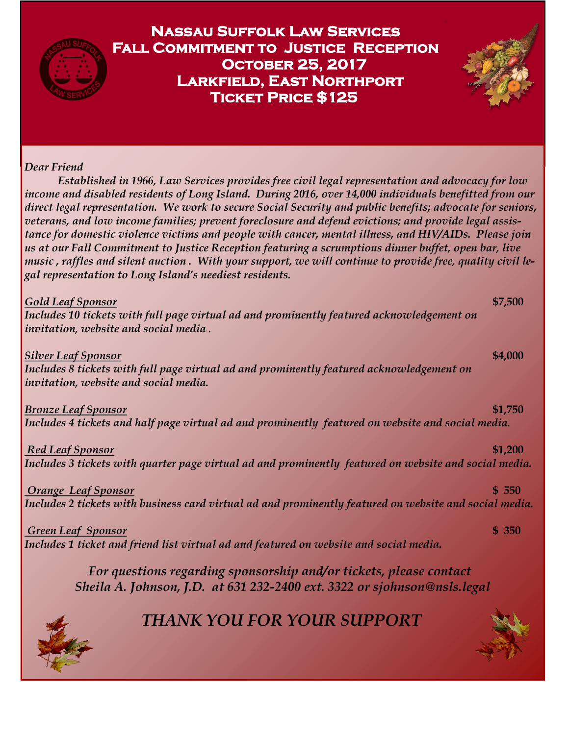

 *For questions regarding sponsorship and/or tickets, please contact Sheila A. Johnson, J.D. at 631 232-2400 ext. 3322 or sjohnson@nsls.legal* 



## *THANK YOU FOR YOUR SUPPORT*